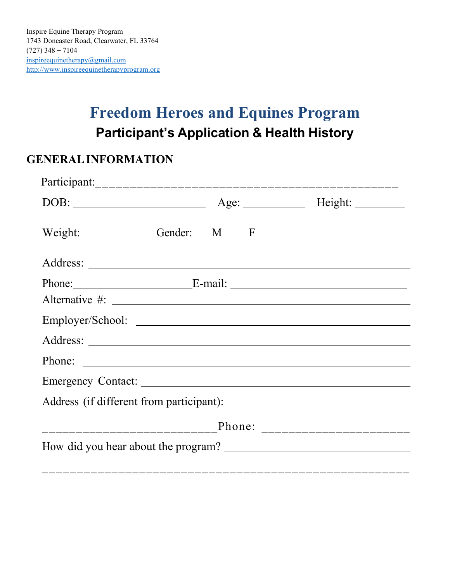# **Freedom Heroes and Equines Program Participant's Application & Health History**

## **GENERALINFORMATION**

| Weight: Gender: M F |  |                               |
|---------------------|--|-------------------------------|
|                     |  |                               |
|                     |  | Phone: <u>E-mail: E-mail:</u> |
|                     |  |                               |
|                     |  |                               |
|                     |  |                               |
|                     |  |                               |
|                     |  |                               |
|                     |  |                               |
|                     |  |                               |
|                     |  |                               |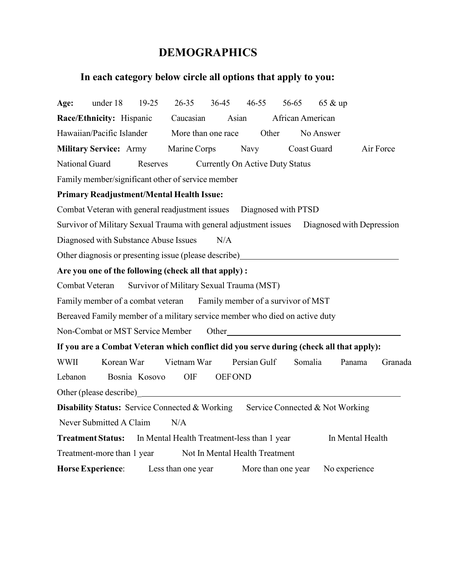# **DEMOGRAPHICS**

# **In each category below circle all options that apply to you:**

| Age:           | under 18                   | $19-25$                               | 26-35 36-45 46-55                                                                           |               |              |                    | 56-65 65 & up |                  |           |
|----------------|----------------------------|---------------------------------------|---------------------------------------------------------------------------------------------|---------------|--------------|--------------------|---------------|------------------|-----------|
|                |                            |                                       | <b>Race/Ethnicity:</b> Hispanic Caucasian                                                   | Asian         |              | African American   |               |                  |           |
|                |                            |                                       | Hawaiian/Pacific Islander More than one race Other                                          |               |              |                    | No Answer     |                  |           |
|                |                            |                                       | <b>Military Service:</b> Army Marine Corps                                                  |               |              | Navy Coast Guard   |               |                  | Air Force |
| National Guard |                            |                                       | Reserves Currently On Active Duty Status                                                    |               |              |                    |               |                  |           |
|                |                            |                                       | Family member/significant other of service member                                           |               |              |                    |               |                  |           |
|                |                            |                                       | <b>Primary Readjustment/Mental Health Issue:</b>                                            |               |              |                    |               |                  |           |
|                |                            |                                       | Combat Veteran with general readjustment issues  Diagnosed with PTSD                        |               |              |                    |               |                  |           |
|                |                            |                                       | Survivor of Military Sexual Trauma with general adjustment issues Diagnosed with Depression |               |              |                    |               |                  |           |
|                |                            | Diagnosed with Substance Abuse Issues |                                                                                             | N/A           |              |                    |               |                  |           |
|                |                            |                                       | Other diagnosis or presenting issue (please describe)                                       |               |              |                    |               |                  |           |
|                |                            |                                       | Are you one of the following (check all that apply):                                        |               |              |                    |               |                  |           |
|                |                            |                                       | Combat Veteran Survivor of Military Sexual Trauma (MST)                                     |               |              |                    |               |                  |           |
|                |                            |                                       | Family member of a combat veteran Family member of a survivor of MST                        |               |              |                    |               |                  |           |
|                |                            |                                       | Bereaved Family member of a military service member who died on active duty                 |               |              |                    |               |                  |           |
|                |                            |                                       | Non-Combat or MST Service Member Other Cher                                                 |               |              |                    |               |                  |           |
|                |                            |                                       | If you are a Combat Veteran which conflict did you serve during (check all that apply):     |               |              |                    |               |                  |           |
| WWII           |                            | Korean War                            | Vietnam War                                                                                 |               | Persian Gulf |                    | Somalia       | Panama           | Granada   |
| Lebanon        |                            | Bosnia Kosovo                         | OIF                                                                                         | <b>OEFOND</b> |              |                    |               |                  |           |
|                |                            |                                       |                                                                                             |               |              |                    |               |                  |           |
|                |                            |                                       | <b>Disability Status:</b> Service Connected & Working Service Connected & Not Working       |               |              |                    |               |                  |           |
|                | Never Submitted A Claim    |                                       | N/A                                                                                         |               |              |                    |               |                  |           |
|                |                            |                                       | Treatment Status: In Mental Health Treatment-less than 1 year                               |               |              |                    |               | In Mental Health |           |
|                | Treatment-more than 1 year |                                       | Not In Mental Health Treatment                                                              |               |              |                    |               |                  |           |
|                | <b>Horse Experience:</b>   |                                       | Less than one year                                                                          |               |              | More than one year | No experience |                  |           |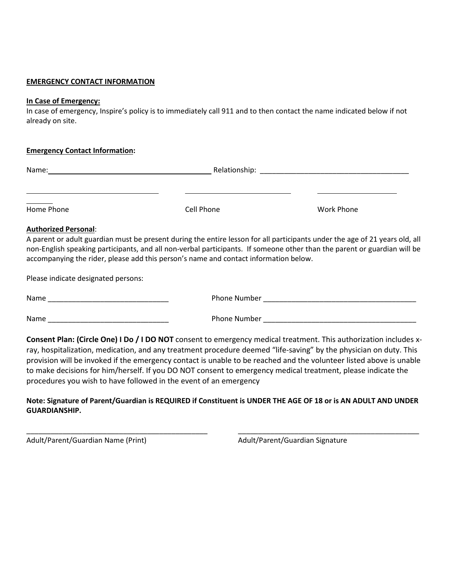### **EMERGENCY CONTACT INFORMATION**

#### **In Case of Emergency:**

In case of emergency, Inspire's policy is to immediately call 911 and to then contact the name indicated below if not already on site.

| <b>Emergency Contact Information:</b> |
|---------------------------------------|
|---------------------------------------|

| Name:      | Relationship: |            |
|------------|---------------|------------|
|            |               |            |
| Home Phone | Cell Phone    | Work Phone |

### **Authorized Personal**:

A parent or adult guardian must be present during the entire lesson for all participants under the age of 21 years old, all non-English speaking participants, and all non-verbal participants. If someone other than the parent or guardian will be accompanying the rider, please add this person's name and contact information below.

Please indicate designated persons:

Name \_\_\_\_\_\_\_\_\_\_\_\_\_\_\_\_\_\_\_\_\_\_\_\_\_\_\_\_\_\_ Phone Number \_\_\_\_\_\_\_\_\_\_\_\_\_\_\_\_\_\_\_\_\_\_\_\_\_\_\_\_\_\_\_\_\_\_\_\_\_\_

Name \_\_\_\_\_\_\_\_\_\_\_\_\_\_\_\_\_\_\_\_\_\_\_\_\_\_\_\_\_\_ Phone Number \_\_\_\_\_\_\_\_\_\_\_\_\_\_\_\_\_\_\_\_\_\_\_\_\_\_\_\_\_\_\_\_\_\_\_\_\_\_

**Consent Plan: (Circle One) I Do / I DO NOT** consent to emergency medical treatment. This authorization includes xray, hospitalization, medication, and any treatment procedure deemed "life-saving" by the physician on duty. This provision will be invoked if the emergency contact is unable to be reached and the volunteer listed above is unable to make decisions for him/herself. If you DO NOT consent to emergency medical treatment, please indicate the procedures you wish to have followed in the event of an emergency

**Note: Signature of Parent/Guardian is REQUIRED if Constituent is UNDER THE AGE OF 18 or is AN ADULT AND UNDER GUARDIANSHIP.**

\_\_\_\_\_\_\_\_\_\_\_\_\_\_\_\_\_\_\_\_\_\_\_\_\_\_\_\_\_\_\_\_\_\_\_\_\_\_\_\_\_\_\_\_\_ \_\_\_\_\_\_\_\_\_\_\_\_\_\_\_\_\_\_\_\_\_\_\_\_\_\_\_\_\_\_\_\_\_\_\_\_\_\_\_\_\_\_\_\_\_

Adult/Parent/Guardian Name (Print) Adult/Parent/Guardian Signature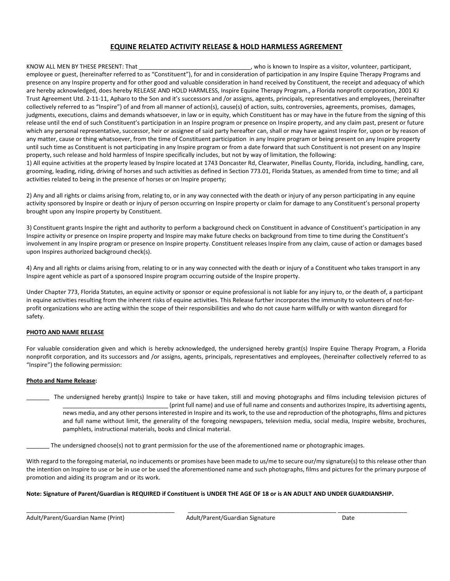#### **EQUINE RELATED ACTIVITY RELEASE & HOLD HARMLESS AGREEMENT**

KNOW ALL MEN BY THESE PRESENT: That **Example 20 and Service 20 and Service** 10 and the United States of the States of the United States of the United States of the United States of the United States of the United States of employee or guest, (hereinafter referred to as "Constituent"), for and in consideration of participation in any Inspire Equine Therapy Programs and presence on any Inspire property and for other good and valuable consideration in hand received by Constituent, the receipt and adequacy of which are hereby acknowledged, does hereby RELEASE AND HOLD HARMLESS, Inspire Equine Therapy Program., a Florida nonprofit corporation, 2001 KJ Trust Agreement Utd. 2-11-11, Apharo to the Son and it's successors and /or assigns, agents, principals, representatives and employees, (hereinafter collectively referred to as "Inspire") of and from all manner of action(s), cause(s) of action, suits, controversies, agreements, promises, damages, judgments, executions, claims and demands whatsoever, in law or in equity, which Constituent has or may have in the future from the signing of this release until the end of such Constituent's participation in an Inspire program or presence on Inspire property, and any claim past, present or future which any personal representative, successor, heir or assignee of said party hereafter can, shall or may have against Inspire for, upon or by reason of any matter, cause or thing whatsoever, from the time of Constituent participation in any Inspire program or being present on any Inspire property until such time as Constituent is not participating in any Inspire program or from a date forward that such Constituent is not present on any Inspire property, such release and hold harmless of Inspire specifically includes, but not by way of limitation, the following:

1) All equine activities at the property leased by Inspire located at 1743 Doncaster Rd, Clearwater, Pinellas County, Florida, including, handling, care, grooming, leading, riding, driving of horses and such activities as defined in Section 773.01, Florida Statues, as amended from time to time; and all activities related to being in the presence of horses or on Inspire property;

2) Any and all rights or claims arising from, relating to, or in any way connected with the death or injury of any person participating in any equine activity sponsored by Inspire or death or injury of person occurring on Inspire property or claim for damage to any Constituent's personal property brought upon any Inspire property by Constituent.

3) Constituent grants Inspire the right and authority to perform a background check on Constituent in advance of Constituent's participation in any Inspire activity or presence on Inspire property and Inspire may make future checks on background from time to time during the Constituent's involvement in any Inspire program or presence on Inspire property. Constituent releases Inspire from any claim, cause of action or damages based upon Inspires authorized background check(s).

4) Any and all rights or claims arising from, relating to or in any way connected with the death or injury of a Constituent who takes transport in any Inspire agent vehicle as part of a sponsored Inspire program occurring outside of the Inspire property.

Under Chapter 773, Florida Statutes, an equine activity or sponsor or equine professional is not liable for any injury to, or the death of, a participant in equine activities resulting from the inherent risks of equine activities. This Release further incorporates the immunity to volunteers of not-forprofit organizations who are acting within the scope of their responsibilities and who do not cause harm willfully or with wanton disregard for safety.

#### **PHOTO AND NAME RELEASE**

For valuable consideration given and which is hereby acknowledged, the undersigned hereby grant(s) Inspire Equine Therapy Program, a Florida nonprofit corporation, and its successors and /or assigns, agents, principals, representatives and employees, (hereinafter collectively referred to as "Inspire") the following permission:

#### **Photo and Name Release:**

\_\_\_\_\_\_\_ The undersigned hereby grant(s) Inspire to take or have taken, still and moving photographs and films including television pictures of \_\_\_\_\_\_\_\_\_\_\_\_\_\_\_\_\_\_\_\_\_\_\_\_\_\_\_\_\_\_\_\_ (print full name) and use of full name and consents and authorizes Inspire, its advertising agents, news media, and any other persons interested in Inspire and its work, to the use and reproduction of the photographs, films and pictures and full name without limit, the generality of the foregoing newspapers, television media, social media, Inspire website, brochures, pamphlets, instructional materials, books and clinical material.

The undersigned choose(s) not to grant permission for the use of the aforementioned name or photographic images.

With regard to the foregoing material, no inducements or promises have been made to us/me to secure our/my signature(s) to this release other than the intention on Inspire to use or be in use or be used the aforementioned name and such photographs, films and pictures for the primary purpose of promotion and aiding its program and or its work.

#### **Note: Signature of Parent/Guardian is REQUIRED if Constituent is UNDER THE AGE OF 18 or is AN ADULT AND UNDER GUARDIANSHIP.**

\_\_\_\_\_\_\_\_\_\_\_\_\_\_\_\_\_\_\_\_\_\_\_\_\_\_\_\_\_\_\_\_\_\_\_\_\_\_\_\_\_\_\_\_\_ \_\_\_\_\_\_\_\_\_\_\_\_\_\_\_\_\_\_\_\_\_\_\_\_\_\_\_\_\_\_\_\_\_\_\_\_\_\_\_\_\_\_\_\_\_ \_\_\_\_\_\_\_\_\_\_\_\_\_\_\_\_\_\_\_\_\_

Adult/Parent/Guardian Name (Print) Adult/Parent/Guardian Signature Date